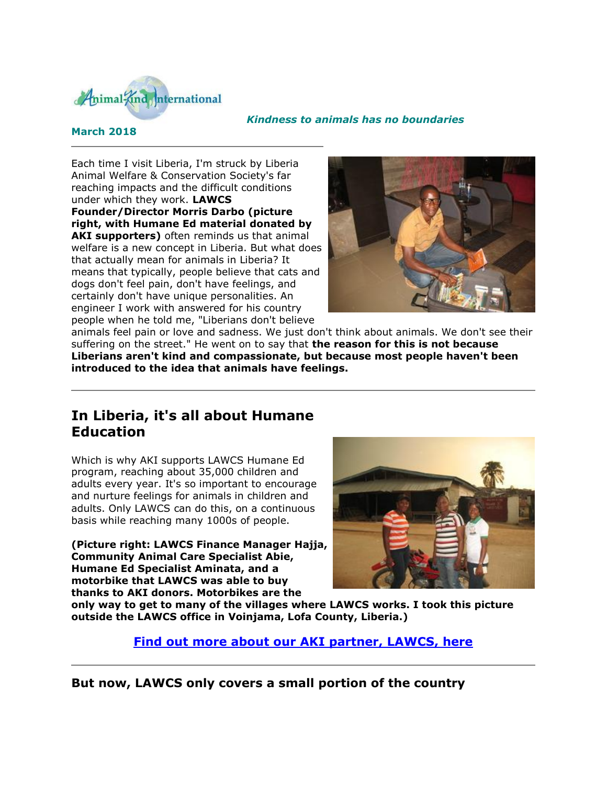

#### *Kindness to animals has no boundaries*

### **March 2018**

Each time I visit Liberia, I'm struck by Liberia Animal Welfare & Conservation Society's far reaching impacts and the difficult conditions under which they work. **LAWCS Founder/Director Morris Darbo (picture right, with Humane Ed material donated by AKI supporters)** often reminds us that animal welfare is a new concept in Liberia. But what does that actually mean for animals in Liberia? It means that typically, people believe that cats and dogs don't feel pain, don't have feelings, and certainly don't have unique personalities. An engineer I work with answered for his country people when he told me, "Liberians don't believe



animals feel pain or love and sadness. We just don't think about animals. We don't see their suffering on the street." He went on to say that **the reason for this is not because Liberians aren't kind and compassionate, but because most people haven't been introduced to the idea that animals have feelings.**

# **In Liberia, it's all about Humane Education**

Which is why AKI supports LAWCS Humane Ed program, reaching about 35,000 children and adults every year. It's so important to encourage and nurture feelings for animals in children and adults. Only LAWCS can do this, on a continuous basis while reaching many 1000s of people.

**(Picture right: LAWCS Finance Manager Hajja, Community Animal Care Specialist Abie, Humane Ed Specialist Aminata, and a motorbike that LAWCS was able to buy thanks to AKI donors. Motorbikes are the** 



**only way to get to many of the villages where LAWCS works. I took this picture outside the LAWCS office in Voinjama, Lofa County, Liberia.)**

**[Find out more about our AKI partner, LAWCS, here](http://cts.vresp.com/c/?AnimalKindInternatio/642906771d/4d75da415c/3d51eb90d6)**

**But now, LAWCS only covers a small portion of the country**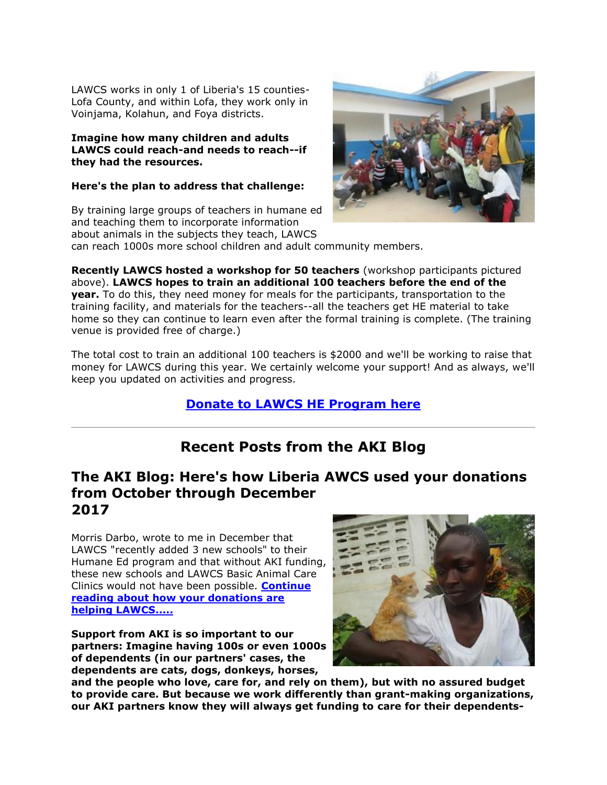LAWCS works in only 1 of Liberia's 15 counties-Lofa County, and within Lofa, they work only in Voinjama, Kolahun, and Foya districts.

#### **Imagine how many children and adults LAWCS could reach-and needs to reach--if they had the resources.**

### **Here's the plan to address that challenge:**

By training large groups of teachers in humane ed and teaching them to incorporate information about animals in the subjects they teach, LAWCS can reach 1000s more school children and adult community members.



**Recently LAWCS hosted a workshop for 50 teachers** (workshop participants pictured above). **LAWCS hopes to train an additional 100 teachers before the end of the year.** To do this, they need money for meals for the participants, transportation to the training facility, and materials for the teachers--all the teachers get HE material to take home so they can continue to learn even after the formal training is complete. (The training

venue is provided free of charge.)

The total cost to train an additional 100 teachers is \$2000 and we'll be working to raise that money for LAWCS during this year. We certainly welcome your support! And as always, we'll keep you updated on activities and progress.

## **[Donate to LAWCS HE Program here](http://cts.vresp.com/c/?AnimalKindInternatio/642906771d/4d75da415c/87fc2a09b3)**

# **Recent Posts from the AKI Blog**

## **The AKI Blog: Here's how Liberia AWCS used your donations from October through December 2017**

Morris Darbo, wrote to me in December that LAWCS "recently added 3 new schools" to their Humane Ed program and that without AKI funding, these new schools and LAWCS Basic Animal Care Clinics would not have been possible. **[Continue](http://cts.vresp.com/c/?AnimalKindInternatio/642906771d/4d75da415c/523a63b377)  [reading about how your donations are](http://cts.vresp.com/c/?AnimalKindInternatio/642906771d/4d75da415c/523a63b377)  [helping LAWCS.....](http://cts.vresp.com/c/?AnimalKindInternatio/642906771d/4d75da415c/523a63b377)**

**Support from AKI is so important to our partners: Imagine having 100s or even 1000s of dependents (in our partners' cases, the dependents are cats, dogs, donkeys, horses,** 



**and the people who love, care for, and rely on them), but with no assured budget to provide care. But because we work differently than grant-making organizations, our AKI partners know they will always get funding to care for their dependents-**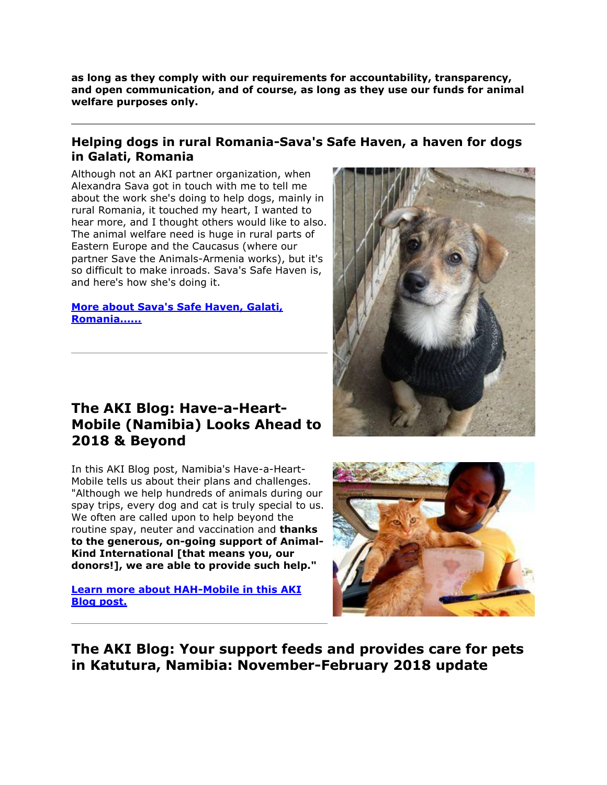**as long as they comply with our requirements for accountability, transparency, and open communication, and of course, as long as they use our funds for animal welfare purposes only.**

### **Helping dogs in rural Romania-Sava's Safe Haven, a haven for dogs in Galati, Romania**

Although not an AKI partner organization, when Alexandra Sava got in touch with me to tell me about the work she's doing to help dogs, mainly in rural Romania, it touched my heart, I wanted to hear more, and I thought others would like to also. The animal welfare need is huge in rural parts of Eastern Europe and the Caucasus (where our partner Save the Animals-Armenia works), but it's so difficult to make inroads. Sava's Safe Haven is, and here's how she's doing it.

### **[More about Sava's Safe Haven, Galati,](http://cts.vresp.com/c/?AnimalKindInternatio/642906771d/4d75da415c/c37e7249be)  [Romania......](http://cts.vresp.com/c/?AnimalKindInternatio/642906771d/4d75da415c/c37e7249be)**

# **The AKI Blog: Have-a-Heart-Mobile (Namibia) Looks Ahead to 2018 & Beyond**

In this AKI Blog post, Namibia's Have-a-Heart-Mobile tells us about their plans and challenges. "Although we help hundreds of animals during our spay trips, every dog and cat is truly special to us. We often are called upon to help beyond the routine spay, neuter and vaccination and **thanks to the generous, on-going support of Animal-Kind International [that means you, our donors!], we are able to provide such help."**

### **[Learn more about HAH-Mobile in this AKI](http://cts.vresp.com/c/?AnimalKindInternatio/642906771d/4d75da415c/9a1a65ac28)  [Blog post.](http://cts.vresp.com/c/?AnimalKindInternatio/642906771d/4d75da415c/9a1a65ac28)**





**The AKI Blog: Your support feeds and provides care for pets in Katutura, Namibia: November-February 2018 update**